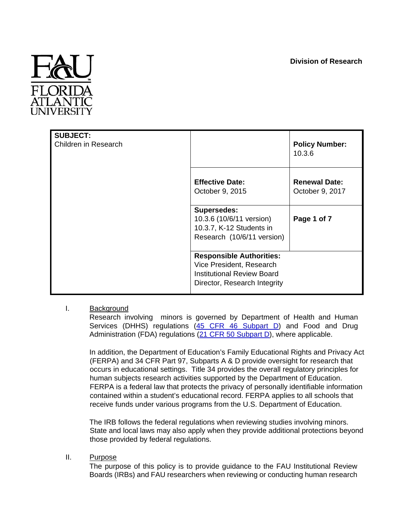

| <b>SUBJECT:</b><br>Children in Research |                                                                                                                                  | <b>Policy Number:</b><br>10.3.6         |
|-----------------------------------------|----------------------------------------------------------------------------------------------------------------------------------|-----------------------------------------|
|                                         | <b>Effective Date:</b><br>October 9, 2015                                                                                        | <b>Renewal Date:</b><br>October 9, 2017 |
|                                         | <b>Supersedes:</b><br>10.3.6 (10/6/11 version)<br>10.3.7, K-12 Students in<br>Research (10/6/11 version)                         | Page 1 of 7                             |
|                                         | <b>Responsible Authorities:</b><br>Vice President, Research<br><b>Institutional Review Board</b><br>Director, Research Integrity |                                         |

# I. Background

Research involving minors is governed by Department of Health and Human Services (DHHS) regulations [\(45](http://www.hhs.gov/ohrp/humansubjects/guidance/45cfr46.html#subpartd) [CFR](http://www.hhs.gov/ohrp/humansubjects/guidance/45cfr46.html#subpartd) [46](http://www.hhs.gov/ohrp/humansubjects/guidance/45cfr46.html#subpartd) [Subpart](http://www.hhs.gov/ohrp/humansubjects/guidance/45cfr46.html#subpartd) [D\)](http://www.hhs.gov/ohrp/humansubjects/guidance/45cfr46.html#subpartd) and Food and Drug Administration (FDA) regulations [\(21](http://www.accessdata.fda.gov/scripts/cdrh/cfdocs/cfcfr/CFRSearch.cfm?CFRPart=50&showFR=1&subpartNode=21:1.0.1.1.20.4) [CFR](http://www.accessdata.fda.gov/scripts/cdrh/cfdocs/cfcfr/CFRSearch.cfm?CFRPart=50&showFR=1&subpartNode=21:1.0.1.1.20.4) [50](http://www.accessdata.fda.gov/scripts/cdrh/cfdocs/cfcfr/CFRSearch.cfm?CFRPart=50&showFR=1&subpartNode=21:1.0.1.1.20.4) [Subpart D\),](http://www.accessdata.fda.gov/scripts/cdrh/cfdocs/cfcfr/CFRSearch.cfm?CFRPart=50&showFR=1&subpartNode=21:1.0.1.1.20.4) where applicable.

In addition, the Department of Education's Family Educational Rights and Privacy Act (FERPA) and 34 CFR Part 97, Subparts A & D provide oversight for research that occurs in educational settings. Title 34 provides the overall regulatory principles for human subjects research activities supported by the Department of Education. FERPA is a federal law that protects the privacy of personally identifiable information contained within a student's educational record. FERPA applies to all schools that receive funds under various programs from the U.S. Department of Education.

The IRB follows the federal regulations when reviewing studies involving minors. State and local laws may also apply when they provide additional protections beyond those provided by federal regulations.

# II. Purpose

The purpose of this policy is to provide guidance to the FAU Institutional Review Boards (IRBs) and FAU researchers when reviewing or conducting human research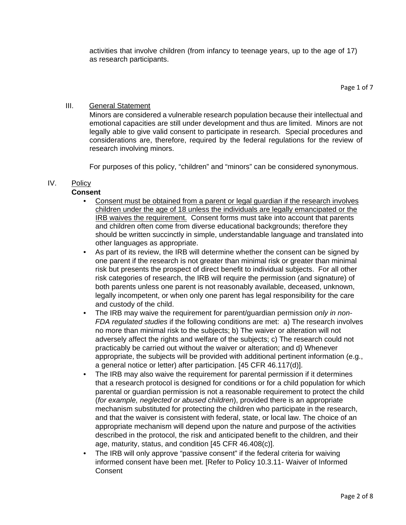activities that involve children (from infancy to teenage years, up to the age of 17) as research participants.

Page 1 of 7

# III. General Statement

Minors are considered a vulnerable research population because their intellectual and emotional capacities are still under development and thus are limited. Minors are not legally able to give valid consent to participate in research. Special procedures and considerations are, therefore, required by the federal regulations for the review of research involving minors.

For purposes of this policy, "children" and "minors" can be considered synonymous.

# IV. Policy

# **Consent**

- Consent must be obtained from a parent or legal guardian if the research involves children under the age of 18 unless the individuals are legally emancipated or the IRB waives the requirement. Consent forms must take into account that parents and children often come from diverse educational backgrounds; therefore they should be written succinctly in simple, understandable language and translated into other languages as appropriate.
- As part of its review, the IRB will determine whether the consent can be signed by one parent if the research is not greater than minimal risk or greater than minimal risk but presents the prospect of direct benefit to individual subjects. For all other risk categories of research, the IRB will require the permission (and signature) of both parents unless one parent is not reasonably available, deceased, unknown, legally incompetent, or when only one parent has legal responsibility for the care and custody of the child.
- The IRB may waive the requirement for parent/guardian permission *only in non-FDA regulated studies* if the following conditions are met: a) The research involves no more than minimal risk to the subjects; b) The waiver or alteration will not adversely affect the rights and welfare of the subjects; c) The research could not practicably be carried out without the waiver or alteration; and d) Whenever appropriate, the subjects will be provided with additional pertinent information (e.g., a general notice or letter) after participation. [45 CFR 46.117(d)].
- The IRB may also waive the requirement for parental permission if it determines that a research protocol is designed for conditions or for a child population for which parental or guardian permission is not a reasonable requirement to protect the child (*for example, neglected or abused children*), provided there is an appropriate mechanism substituted for protecting the children who participate in the research, and that the waiver is consistent with federal, state, or local law. The choice of an appropriate mechanism will depend upon the nature and purpose of the activities described in the protocol, the risk and anticipated benefit to the children, and their age, maturity, status, and condition [45 CFR 46.408(c)].
- The IRB will only approve "passive consent" if the federal criteria for waiving informed consent have been met. [Refer to Policy 10.3.11- Waiver of Informed **Consent**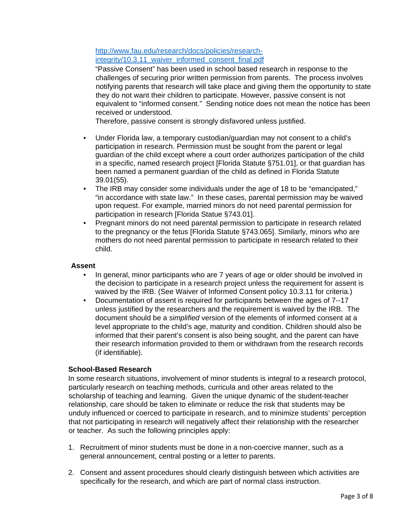[http://www.fau.edu/research/docs/policies/research](http://www.fau.edu/research/docs/policies/research-integrity/10.3.11_waiver_informed_consent_final.pdf)[integrity/10.3.11\\_waiver\\_informed\\_consent\\_final.pdf](http://www.fau.edu/research/docs/policies/research-integrity/10.3.11_waiver_informed_consent_final.pdf)

"Passive Consent" has been used in school based research in response to the challenges of securing prior written permission from parents. The process involves notifying parents that research will take place and giving them the opportunity to state they do not want their children to participate. However, passive consent is not equivalent to "informed consent." Sending notice does not mean the notice has been received or understood.

Therefore, passive consent is strongly disfavored unless justified.

- Under Florida law, a temporary custodian/guardian may not consent to a child's participation in research. Permission must be sought from the parent or legal guardian of the child except where a court order authorizes participation of the child in a specific, named research project [Florida Statute §751.01], or that guardian has been named a permanent guardian of the child as defined in Florida Statute 39.01(55).
- The IRB may consider some individuals under the age of 18 to be "emancipated," "in accordance with state law." In these cases, parental permission may be waived upon request. For example, married minors do not need parental permission for participation in research [Florida Statue §743.01].
- Pregnant minors do not need parental permission to participate in research related to the pregnancy or the fetus [Florida Statute §743.065]. Similarly, minors who are mothers do not need parental permission to participate in research related to their child.

#### **Assent**

- In general, minor participants who are 7 years of age or older should be involved in the decision to participate in a research project unless the requirement for assent is waived by the IRB. (See Waiver of Informed Consent policy 10.3.11 for criteria.)
- Documentation of assent is required for participants between the ages of 7--17 unless justified by the researchers and the requirement is waived by the IRB. The document should be a *simplified* version of the elements of informed consent at a level appropriate to the child's age, maturity and condition. Children should also be informed that their parent's consent is also being sought, and the parent can have their research information provided to them or withdrawn from the research records (if identifiable).

# **School-Based Research**

In some research situations, involvement of minor students is integral to a research protocol, particularly research on teaching methods, curricula and other areas related to the scholarship of teaching and learning. Given the unique dynamic of the student-teacher relationship, care should be taken to eliminate or reduce the risk that students may be unduly influenced or coerced to participate in research, and to minimize students' perception that not participating in research will negatively affect their relationship with the researcher or teacher. As such the following principles apply:

- 1. Recruitment of minor students must be done in a non-coercive manner, such as a general announcement, central posting or a letter to parents.
- 2. Consent and assent procedures should clearly distinguish between which activities are specifically for the research, and which are part of normal class instruction.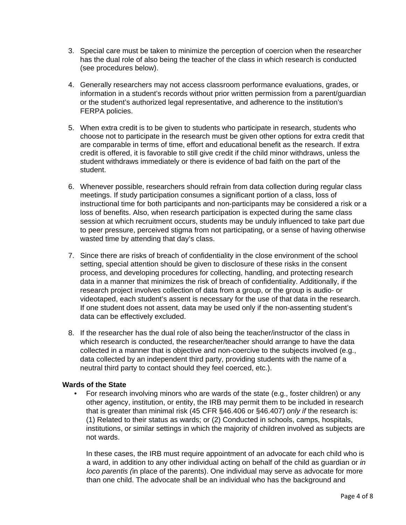- 3. Special care must be taken to minimize the perception of coercion when the researcher has the dual role of also being the teacher of the class in which research is conducted (see procedures below).
- 4. Generally researchers may not access classroom performance evaluations, grades, or information in a student's records without prior written permission from a parent/guardian or the student's authorized legal representative, and adherence to the institution's FERPA policies.
- 5. When extra credit is to be given to students who participate in research, students who choose not to participate in the research must be given other options for extra credit that are comparable in terms of time, effort and educational benefit as the research. If extra credit is offered, it is favorable to still give credit if the child minor withdraws, unless the student withdraws immediately or there is evidence of bad faith on the part of the student.
- 6. Whenever possible, researchers should refrain from data collection during regular class meetings. If study participation consumes a significant portion of a class, loss of instructional time for both participants and non-participants may be considered a risk or a loss of benefits. Also, when research participation is expected during the same class session at which recruitment occurs, students may be unduly influenced to take part due to peer pressure, perceived stigma from not participating, or a sense of having otherwise wasted time by attending that day's class.
- 7. Since there are risks of breach of confidentiality in the close environment of the school setting, special attention should be given to disclosure of these risks in the consent process, and developing procedures for collecting, handling, and protecting research data in a manner that minimizes the risk of breach of confidentiality. Additionally, if the research project involves collection of data from a group, or the group is audio- or videotaped, each student's assent is necessary for the use of that data in the research. If one student does not assent, data may be used only if the non-assenting student's data can be effectively excluded.
- 8. If the researcher has the dual role of also being the teacher/instructor of the class in which research is conducted, the researcher/teacher should arrange to have the data collected in a manner that is objective and non-coercive to the subjects involved (e.g., data collected by an independent third party, providing students with the name of a neutral third party to contact should they feel coerced, etc.).

# **Wards of the State**

• For research involving minors who are wards of the state (e.g., foster children) or any other agency, institution, or entity, the IRB may permit them to be included in research that is greater than minimal risk (45 CFR §46.406 or §46.407) *only if* the research is: (1) Related to their status as wards; or (2) Conducted in schools, camps, hospitals, institutions, or similar settings in which the majority of children involved as subjects are not wards.

In these cases, the IRB must require appointment of an advocate for each child who is a ward, in addition to any other individual acting on behalf of the child as guardian or *in loco parentis (*in place of the parents). One individual may serve as advocate for more than one child. The advocate shall be an individual who has the background and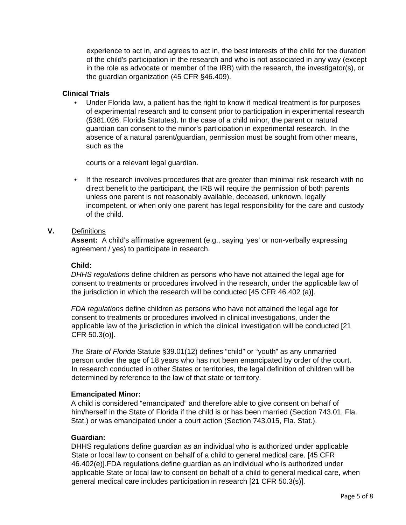experience to act in, and agrees to act in, the best interests of the child for the duration of the child's participation in the research and who is not associated in any way (except in the role as advocate or member of the IRB) with the research, the investigator(s), or the guardian organization (45 CFR §46.409).

#### **Clinical Trials**

• Under Florida law, a patient has the right to know if medical treatment is for purposes of experimental research and to consent prior to participation in experimental research (§381.026, Florida Statutes). In the case of a child minor, the parent or natural guardian can consent to the minor's participation in experimental research. In the absence of a natural parent/guardian, permission must be sought from other means, such as the

courts or a relevant legal guardian.

• If the research involves procedures that are greater than minimal risk research with no direct benefit to the participant, the IRB will require the permission of both parents unless one parent is not reasonably available, deceased, unknown, legally incompetent, or when only one parent has legal responsibility for the care and custody of the child.

# **V.** Definitions

**Assent:** A child's affirmative agreement (e.g., saying 'yes' or non-verbally expressing agreement / yes) to participate in research.

#### **Child:**

*DHHS regulations* define children as persons who have not attained the legal age for consent to treatments or procedures involved in the research, under the applicable law of the jurisdiction in which the research will be conducted [45 CFR 46.402 (a)].

*FDA regulations* define children as persons who have not attained the legal age for consent to treatments or procedures involved in clinical investigations, under the applicable law of the jurisdiction in which the clinical investigation will be conducted [21 CFR 50.3(o)].

*The State of Florida* Statute §39.01(12) defines "child" or "youth" as any unmarried person under the age of 18 years who has not been emancipated by order of the court. In research conducted in other States or territories, the legal definition of children will be determined by reference to the law of that state or territory.

# **Emancipated Minor:**

A child is considered "emancipated" and therefore able to give consent on behalf of him/herself in the State of Florida if the child is or has been married (Section 743.01, Fla. Stat.) or was emancipated under a court action (Section 743.015, Fla. Stat.).

# **Guardian:**

DHHS regulations define guardian as an individual who is authorized under applicable State or local law to consent on behalf of a child to general medical care. [45 CFR 46.402(e)].FDA regulations define guardian as an individual who is authorized under applicable State or local law to consent on behalf of a child to general medical care, when general medical care includes participation in research [21 CFR 50.3(s)].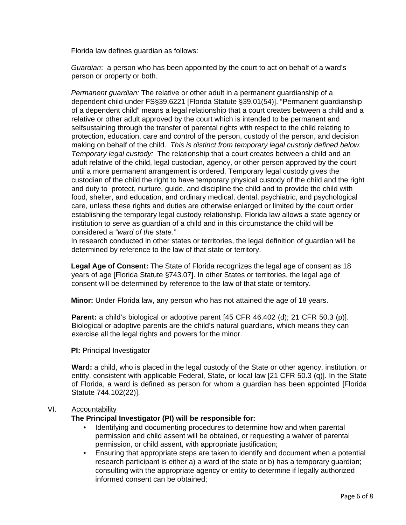Florida law defines guardian as follows:

*Guardian*: a person who has been appointed by the court to act on behalf of a ward's person or property or both.

*Permanent guardian:* The relative or other adult in a permanent guardianship of a dependent child under FS§39.6221 [Florida Statute §39.01(54)]. "Permanent guardianship of a dependent child" means a legal relationship that a court creates between a child and a relative or other adult approved by the court which is intended to be permanent and selfsustaining through the transfer of parental rights with respect to the child relating to protection, education, care and control of the person, custody of the person, and decision making on behalf of the child. *This is distinct from temporary legal custody defined below. Temporary legal custody:* The relationship that a court creates between a child and an adult relative of the child, legal custodian, agency, or other person approved by the court until a more permanent arrangement is ordered. Temporary legal custody gives the custodian of the child the right to have temporary physical custody of the child and the right and duty to protect, nurture, guide, and discipline the child and to provide the child with food, shelter, and education, and ordinary medical, dental, psychiatric, and psychological care, unless these rights and duties are otherwise enlarged or limited by the court order establishing the temporary legal custody relationship. Florida law allows a state agency or institution to serve as guardian of a child and in this circumstance the child will be considered a *"ward of the state."*

In research conducted in other states or territories, the legal definition of guardian will be determined by reference to the law of that state or territory.

**Legal Age of Consent:** The State of Florida recognizes the legal age of consent as 18 years of age [Florida Statute §743.07]. In other States or territories, the legal age of consent will be determined by reference to the law of that state or territory.

**Minor:** Under Florida law, any person who has not attained the age of 18 years.

Parent: a child's biological or adoptive parent [45 CFR 46.402 (d); 21 CFR 50.3 (p)]. Biological or adoptive parents are the child's natural guardians, which means they can exercise all the legal rights and powers for the minor.

**PI:** Principal Investigator

**Ward:** a child, who is placed in the legal custody of the State or other agency, institution, or entity, consistent with applicable Federal, State, or local law [21 CFR 50.3 (q)]. In the State of Florida, a ward is defined as person for whom a guardian has been appointed [Florida Statute 744.102(22)].

#### VI. Accountability

# **The Principal Investigator (PI) will be responsible for:**

- Identifying and documenting procedures to determine how and when parental permission and child assent will be obtained, or requesting a waiver of parental permission, or child assent, with appropriate justification;
- Ensuring that appropriate steps are taken to identify and document when a potential research participant is either a) a ward of the state or b) has a temporary guardian; consulting with the appropriate agency or entity to determine if legally authorized informed consent can be obtained;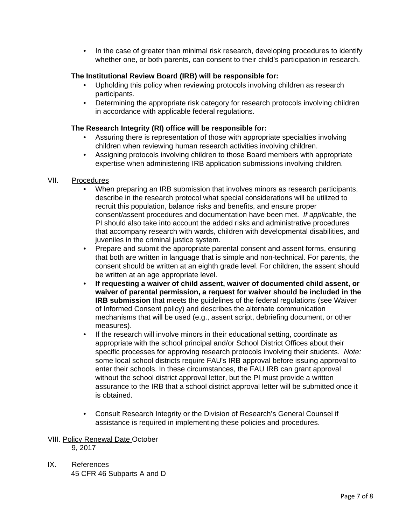• In the case of greater than minimal risk research, developing procedures to identify whether one, or both parents, can consent to their child's participation in research.

# **The Institutional Review Board (IRB) will be responsible for:**

- Upholding this policy when reviewing protocols involving children as research participants.
- Determining the appropriate risk category for research protocols involving children in accordance with applicable federal regulations.

# **The Research Integrity (RI) office will be responsible for:**

- Assuring there is representation of those with appropriate specialties involving children when reviewing human research activities involving children.
- Assigning protocols involving children to those Board members with appropriate expertise when administering IRB application submissions involving children.

# VII. Procedures

- When preparing an IRB submission that involves minors as research participants, describe in the research protocol what special considerations will be utilized to recruit this population, balance risks and benefits, and ensure proper consent/assent procedures and documentation have been met. *If applicable*, the PI should also take into account the added risks and administrative procedures that accompany research with wards, children with developmental disabilities, and juveniles in the criminal justice system.
- Prepare and submit the appropriate parental consent and assent forms, ensuring that both are written in language that is simple and non-technical. For parents, the consent should be written at an eighth grade level. For children, the assent should be written at an age appropriate level.
- **If requesting a waiver of child assent, waiver of documented child assent, or waiver of parental permission, a request for waiver should be included in the IRB submission** that meets the guidelines of the federal regulations (see Waiver of Informed Consent policy) and describes the alternate communication mechanisms that will be used (e.g., assent script, debriefing document, or other measures).
- If the research will involve minors in their educational setting, coordinate as appropriate with the school principal and/or School District Offices about their specific processes for approving research protocols involving their students. *Note:*  some local school districts require FAU's IRB approval before issuing approval to enter their schools. In these circumstances, the FAU IRB can grant approval without the school district approval letter, but the PI must provide a written assurance to the IRB that a school district approval letter will be submitted once it is obtained.
- Consult Research Integrity or the Division of Research's General Counsel if assistance is required in implementing these policies and procedures.

# VIII. Policy Renewal Date October

9, 2017

IX. References 45 CFR 46 Subparts A and D